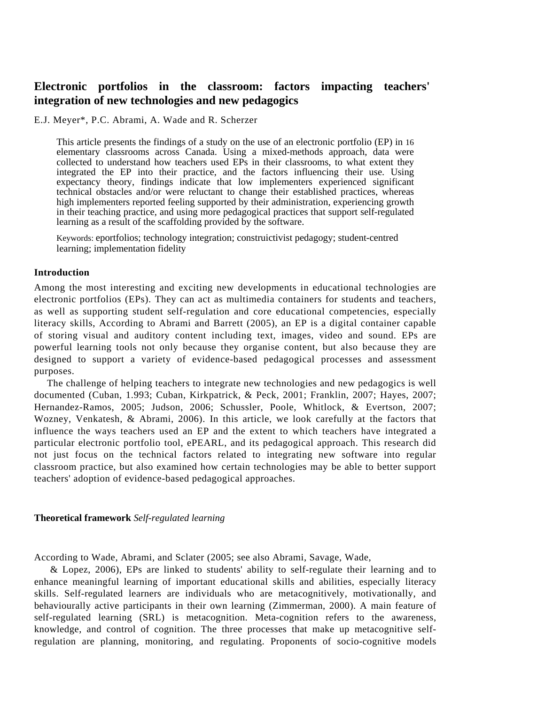# **Electronic portfolios in the classroom: factors impacting teachers' integration of new technologies and new pedagogics**

E.J. Meyer\*, P.C. Abrami, A. Wade and R. Scherzer

This article presents the findings of a study on the use of an electronic portfolio (EP) in 16 elementary classrooms across Canada. Using a mixed-methods approach, data were collected to understand how teachers used EPs in their classrooms, to what extent they integrated the EP into their practice, and the factors influencing their use. Using expectancy theory, findings indicate that low implementers experienced significant technical obstacles and/or were reluctant to change their established practices, whereas high implementers reported feeling supported by their administration, experiencing growth in their teaching practice, and using more pedagogical practices that support self-regulated learning as a result of the scaffolding provided by the software.

Keywords: eportfolios; technology integration; construictivist pedagogy; student-centred learning; implementation fidelity

#### **Introduction**

Among the most interesting and exciting new developments in educational technologies are electronic portfolios (EPs). They can act as multimedia containers for students and teachers, as well as supporting student self-regulation and core educational competencies, especially literacy skills, According to Abrami and Barrett (2005), an EP is a digital container capable of storing visual and auditory content including text, images, video and sound. EPs are powerful learning tools not only because they organise content, but also because they are designed to support a variety of evidence-based pedagogical processes and assessment purposes.

The challenge of helping teachers to integrate new technologies and new pedagogics is well documented (Cuban, 1.993; Cuban, Kirkpatrick, & Peck, 2001; Franklin, 2007; Hayes, 2007; Hernandez-Ramos, 2005; Judson, 2006; Schussler, Poole, Whitlock, & Evertson, 2007; Wozney, Venkatesh, & Abrami, 2006). In this article, we look carefully at the factors that influence the ways teachers used an EP and the extent to which teachers have integrated a particular electronic portfolio tool, ePEARL, and its pedagogical approach. This research did not just focus on the technical factors related to integrating new software into regular classroom practice, but also examined how certain technologies may be able to better support teachers' adoption of evidence-based pedagogical approaches.

### **Theoretical framework** *Self-regulated learning*

According to Wade, Abrami, and Sclater (2005; see also Abrami, Savage, Wade,

& Lopez, 2006), EPs are linked to students' ability to self-regulate their learning and to enhance meaningful learning of important educational skills and abilities, especially literacy skills. Self-regulated learners are individuals who are metacognitively, motivationally, and behaviourally active participants in their own learning (Zimmerman, 2000). A main feature of self-regulated learning (SRL) is metacognition. Meta-cognition refers to the awareness, knowledge, and control of cognition. The three processes that make up metacognitive selfregulation are planning, monitoring, and regulating. Proponents of socio-cognitive models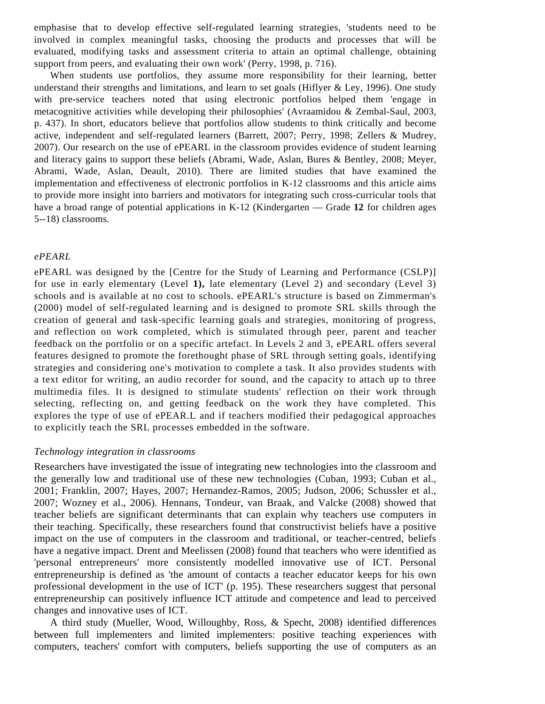emphasise that to develop effective self-regulated learning strategies, 'students need to be involved in complex meaningful tasks, choosing the products and processes that will be evaluated, modifying tasks and assessment criteria to attain an optimal challenge, obtaining support from peers, and evaluating their own work' (Perry, 1998, p. 716).

When students use portfolios, they assume more responsibility for their learning, better understand their strengths and limitations, and learn to set goals (Hiflyer & Ley, 1996). One study with pre-service teachers noted that using electronic portfolios helped them 'engage in metacognitive activities while developing their philosophies' (Avraamidou & Zembal-Saul, 2003, p. 437). In short, educators believe that portfolios allow students to think critically and become active, independent and self-regulated learners (Barrett, 2007; Perry, 1998; Zellers & Mudrey, 2007). Our research on the use of ePEARL in the classroom provides evidence of student learning and literacy gains to support these beliefs (Abrami, Wade, Aslan, Bures & Bentley, 2008; Meyer, Abrami, Wade, Aslan, Deault, 2010). There are limited studies that have examined the implementation and effectiveness of electronic portfolios in K-12 classrooms and this article aims to provide more insight into barriers and motivators for integrating such cross-curricular tools that have a broad range of potential applications in K-12 (Kindergarten — Grade **12** for children ages 5--18) classrooms.

### *ePEARL*

ePEARL was designed by the [Centre for the Study of Learning and Performance (CSLP)] for use in early elementary (Level **1),** late elementary (Level 2) and secondary (Level 3) schools and is available at no cost to schools. ePEARL's structure is based on Zimmerman's (2000) model of self-regulated learning and is designed to promote SRL skills through the creation of general and task-specific learning goals and strategies, monitoring of progress, and reflection on work completed, which is stimulated through peer, parent and teacher feedback on the portfolio or on a specific artefact. In Levels 2 and 3, ePEARL offers several features designed to promote the forethought phase of SRL through setting goals, identifying strategies and considering one's motivation to complete a task. It also provides students with a text editor for writing, an audio recorder for sound, and the capacity to attach up to three multimedia files. It is designed to stimulate students' reflection on their work through selecting, reflecting on, and getting feedback on the work they have completed. This explores the type of use of ePEAR.L and if teachers modified their pedagogical approaches to explicitly teach the SRL processes embedded in the software.

#### *Technology integration in classrooms*

Researchers have investigated the issue of integrating new technologies into the classroom and the generally low and traditional use of these new technologies (Cuban, 1993; Cuban et al., 2001; Franklin, 2007; Hayes, 2007; Hernandez-Ramos, 2005; Judson, 2006; Schussler et al., 2007; Wozney et al., 2006). Hennans, Tondeur, van Braak, and Valcke (2008) showed that teacher beliefs are significant determinants that can explain why teachers use computers in their teaching. Specifically, these researchers found that constructivist beliefs have a positive impact on the use of computers in the classroom and traditional, or teacher-centred, beliefs have a negative impact. Drent and Meelissen (2008) found that teachers who were identified as 'personal entrepreneurs' more consistently modelled innovative use of ICT. Personal entrepreneurship is defined as 'the amount of contacts a teacher educator keeps for his own professional development in the use of ICT' (p. 195). These researchers suggest that personal entrepreneurship can positively influence ICT attitude and competence and lead to perceived changes and innovative uses of ICT.

A third study (Mueller, Wood, Willoughby, Ross, & Specht, 2008) identified differences between full implementers and limited implementers: positive teaching experiences with computers, teachers' comfort with computers, beliefs supporting the use of computers as an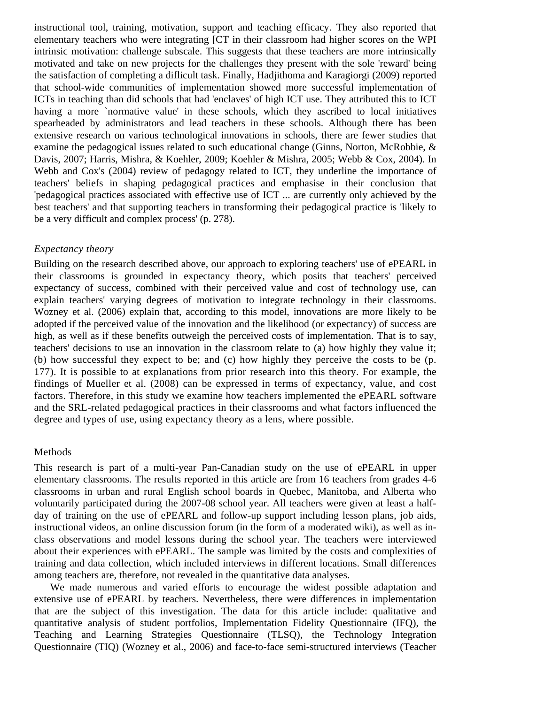instructional tool, training, motivation, support and teaching efficacy. They also reported that elementary teachers who were integrating [CT in their classroom had higher scores on the WPI intrinsic motivation: challenge subscale. This suggests that these teachers are more intrinsically motivated and take on new projects for the challenges they present with the sole 'reward' being the satisfaction of completing a diflicult task. Finally, Hadjithoma and Karagiorgi (2009) reported that school-wide communities of implementation showed more successful implementation of ICTs in teaching than did schools that had 'enclaves' of high ICT use. They attributed this to ICT having a more `normative value' in these schools, which they ascribed to local initiatives spearheaded by administrators and lead teachers in these schools. Although there has been extensive research on various technological innovations in schools, there are fewer studies that examine the pedagogical issues related to such educational change (Ginns, Norton, McRobbie, & Davis, 2007; Harris, Mishra, & Koehler, 2009; Koehler & Mishra, 2005; Webb & Cox, 2004). In Webb and Cox's (2004) review of pedagogy related to ICT, they underline the importance of teachers' beliefs in shaping pedagogical practices and emphasise in their conclusion that 'pedagogical practices associated with effective use of ICT ... are currently only achieved by the best teachers' and that supporting teachers in transforming their pedagogical practice is 'likely to be a very difficult and complex process' (p. 278).

# *Expectancy theory*

Building on the research described above, our approach to exploring teachers' use of ePEARL in their classrooms is grounded in expectancy theory, which posits that teachers' perceived expectancy of success, combined with their perceived value and cost of technology use, can explain teachers' varying degrees of motivation to integrate technology in their classrooms. Wozney et al. (2006) explain that, according to this model, innovations are more likely to be adopted if the perceived value of the innovation and the likelihood (or expectancy) of success are high, as well as if these benefits outweigh the perceived costs of implementation. That is to say, teachers' decisions to use an innovation in the classroom relate to (a) how highly they value it; (b) how successful they expect to be; and (c) how highly they perceive the costs to be (p. 177). It is possible to at explanations from prior research into this theory. For example, the findings of Mueller et al. (2008) can be expressed in terms of expectancy, value, and cost factors. Therefore, in this study we examine how teachers implemented the ePEARL software and the SRL-related pedagogical practices in their classrooms and what factors influenced the degree and types of use, using expectancy theory as a lens, where possible.

### Methods

This research is part of a multi-year Pan-Canadian study on the use of ePEARL in upper elementary classrooms. The results reported in this article are from 16 teachers from grades 4-6 classrooms in urban and rural English school boards in Quebec, Manitoba, and Alberta who voluntarily participated during the 2007-08 school year. All teachers were given at least a halfday of training on the use of ePEARL and follow-up support including lesson plans, job aids, instructional videos, an online discussion forum (in the form of a moderated wiki), as well as inclass observations and model lessons during the school year. The teachers were interviewed about their experiences with ePEARL. The sample was limited by the costs and complexities of training and data collection, which included interviews in different locations. Small differences among teachers are, therefore, not revealed in the quantitative data analyses.

We made numerous and varied efforts to encourage the widest possible adaptation and extensive use of ePEARL by teachers. Nevertheless, there were differences in implementation that are the subject of this investigation. The data for this article include: qualitative and quantitative analysis of student portfolios, Implementation Fidelity Questionnaire (IFQ), the Teaching and Learning Strategies Questionnaire (TLSQ), the Technology Integration Questionnaire (TIQ) (Wozney et al., 2006) and face-to-face semi-structured interviews (Teacher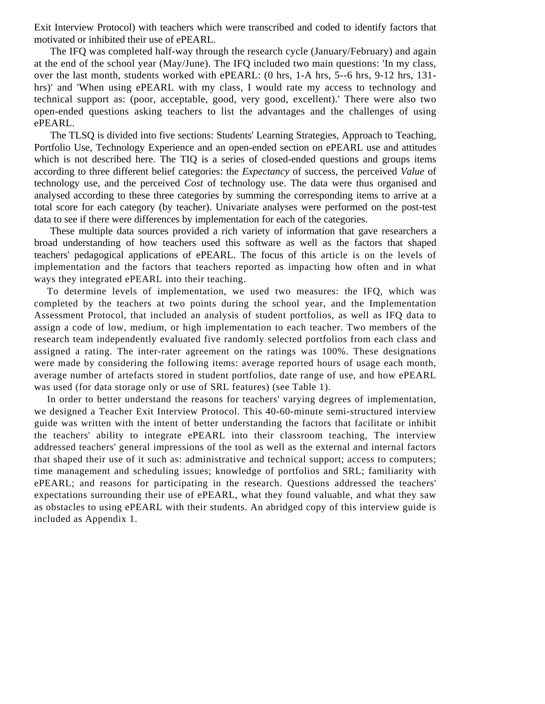Exit Interview Protocol) with teachers which were transcribed and coded to identify factors that motivated or inhibited their use of ePEARL.

The IFQ was completed half-way through the research cycle (January/February) and again at the end of the school year (May/June). The IFQ included two main questions: 'In my class, over the last month, students worked with ePEARL: (0 hrs, 1-A hrs, 5--6 hrs, 9-12 hrs, 131 hrs)' and 'When using ePEARL with my class, I would rate my access to technology and technical support as: (poor, acceptable, good, very good, excellent).' There were also two open-ended questions asking teachers to list the advantages and the challenges of using ePEARL.

The TLSQ is divided into five sections: Students' Learning Strategies, Approach to Teaching, Portfolio Use, Technology Experience and an open-ended section on ePEARL use and attitudes which is not described here. The TIQ is a series of closed-ended questions and groups items according to three different belief categories: the *Expectancy* of success, the perceived *Value* of technology use, and the perceived *Cost* of technology use. The data were thus organised and analysed according to these three categories by summing the corresponding items to arrive at a total score for each category (by teacher). Univariate analyses were performed on the post-test data to see if there were differences by implementation for each of the categories.

These multiple data sources provided a rich variety of information that gave researchers a broad understanding of how teachers used this software as well as the factors that shaped teachers' pedagogical applications of ePEARL. The focus of this article is on the levels of implementation and the factors that teachers reported as impacting how often and in what ways they integrated ePEARL into their teaching.

To determine levels of implementation, we used two measures: the IFQ, which was completed by the teachers at two points during the school year, and the Implementation Assessment Protocol, that included an analysis of student portfolios, as well as IFQ data to assign a code of low, medium, or high implementation to each teacher. Two members of the research team independently evaluated five randomly selected portfolios from each class and assigned a rating. The inter-rater agreement on the ratings was 100%. These designations were made by considering the following items: average reported hours of usage each month, average number of artefacts stored in student portfolios, date range of use, and how ePEARL was used (for data storage only or use of SRL features) (see Table 1).

In order to better understand the reasons for teachers' varying degrees of implementation, we designed a Teacher Exit Interview Protocol. This 40-60-minute semi-structured interview guide was written with the intent of better understanding the factors that facilitate or inhibit the teachers' ability to integrate ePEARL into their classroom teaching, The interview addressed teachers' general impressions of the tool as well as the external and internal factors that shaped their use of it such as: administrative and technical support; access to computers; time management and scheduling issues; knowledge of portfolios and SRL; familiarity with ePEARL; and reasons for participating in the research. Questions addressed the teachers' expectations surrounding their use of ePEARL, what they found valuable, and what they saw as obstacles to using ePEARL with their students. An abridged copy of this interview guide is included as Appendix 1.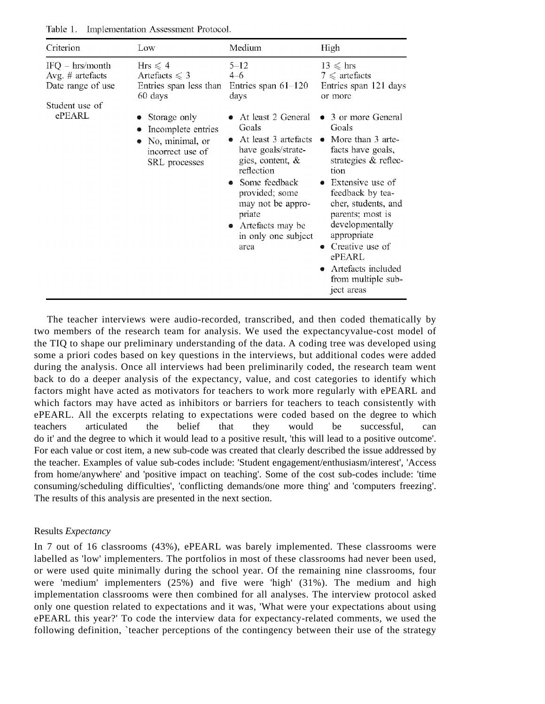| Criterion                                                                              | Low                                                                                                                                                                          | Medium                                                                                                                                                                                                                                                                   | High                                                                                                                                                                                                                                                                                                              |
|----------------------------------------------------------------------------------------|------------------------------------------------------------------------------------------------------------------------------------------------------------------------------|--------------------------------------------------------------------------------------------------------------------------------------------------------------------------------------------------------------------------------------------------------------------------|-------------------------------------------------------------------------------------------------------------------------------------------------------------------------------------------------------------------------------------------------------------------------------------------------------------------|
| $IFQ - hrs/month$<br>Avg. # artefacts<br>Date range of use<br>Student use of<br>ePEARL | $Hrs \leq 4$<br>Artefacts $\leq 3$<br>Entries span less than<br>60 days<br>Storage only<br>۰<br>Incomplete entries<br>• No, minimal, or<br>incorrect use of<br>SRL processes | $5 - 12$<br>$4 - 6$<br>Entries span $61-120$<br>days<br>• At least 2 General<br>Goals<br>At least 3 artefacts<br>●<br>have goals/strate-<br>gies, content, $\&$<br>reflection<br>Some feedback<br>provided; some<br>may not be appro-<br>priate<br>Artefacts may be<br>⊛ | $13 \leq \text{hrs}$<br>$7 \leqslant$ artefacts<br>Entries span 121 days<br>or more<br>• 3 or more General<br>Goals<br>• More than 3 arte-<br>facts have goals,<br>strategies $&$ reflec-<br>tion<br>$\bullet$ Extensive use of<br>feedback by tea-<br>cher, students, and<br>parents; most is<br>developmentally |
|                                                                                        |                                                                                                                                                                              | in only one subject<br>area                                                                                                                                                                                                                                              | appropriate<br>Creative use of<br>۰<br>ePEARL<br>Artefacts included<br>۰<br>from multiple sub-<br>ject areas                                                                                                                                                                                                      |

Table 1. Implementation Assessment Protocol.

The teacher interviews were audio-recorded, transcribed, and then coded thematically by two members of the research team for analysis. We used the expectancyvalue-cost model of the TIQ to shape our preliminary understanding of the data. A coding tree was developed using some a priori codes based on key questions in the interviews, but additional codes were added during the analysis. Once all interviews had been preliminarily coded, the research team went back to do a deeper analysis of the expectancy, value, and cost categories to identify which factors might have acted as motivators for teachers to work more regularly with ePEARL and which factors may have acted as inhibitors or barriers for teachers to teach consistently with ePEARL. All the excerpts relating to expectations were coded based on the degree to which teachers articulated the belief that they would be successful, can do it' and the degree to which it would lead to a positive result, 'this will lead to a positive outcome'. For each value or cost item, a new sub-code was created that clearly described the issue addressed by the teacher. Examples of value sub-codes include: 'Student engagement/enthusiasm/interest', 'Access from home/anywhere' and 'positive impact on teaching'. Some of the cost sub-codes include: 'time consuming/scheduling difficulties', 'conflicting demands/one more thing' and 'computers freezing'. The results of this analysis are presented in the next section.

#### Results *Expectancy*

In 7 out of 16 classrooms (43%), ePEARL was barely implemented. These classrooms were labelled as 'low' implementers. The portfolios in most of these classrooms had never been used, or were used quite minimally during the school year. Of the remaining nine classrooms, four were 'medium' implementers (25%) and five were 'high' (31%). The medium and high implementation classrooms were then combined for all analyses. The interview protocol asked only one question related to expectations and it was, 'What were your expectations about using ePEARL this year?' To code the interview data for expectancy-related comments, we used the following definition, `teacher perceptions of the contingency between their use of the strategy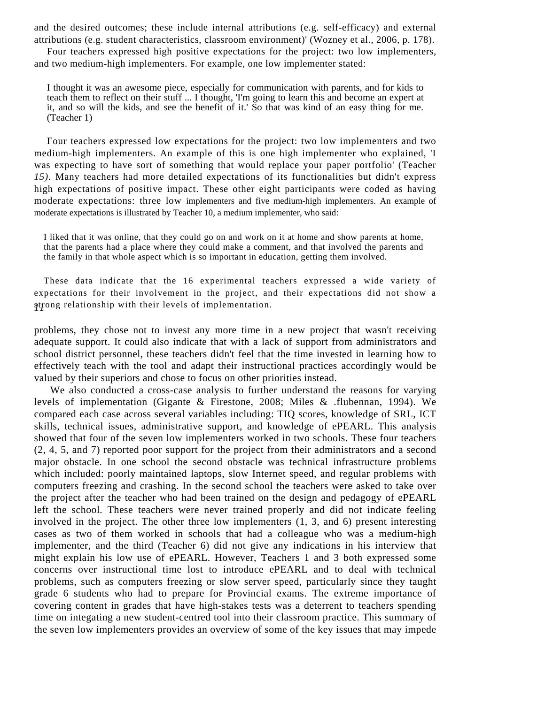and the desired outcomes; these include internal attributions (e.g. self-efficacy) and external attributions (e.g. student characteristics, classroom environment)' (Wozney et al., 2006, p. 178).

Four teachers expressed high positive expectations for the project: two low implementers, and two medium-high implementers. For example, one low implementer stated:

I thought it was an awesome piece, especially for communication with parents, and for kids to teach them to reflect on their stuff ... I thought, 'I'm going to learn this and become an expert at it, and so will the kids, and see the benefit of it.' So that was kind of an easy thing for me. (Teacher 1)

Four teachers expressed low expectations for the project: two low implementers and two medium-high implementers. An example of this is one high implementer who explained, 'I was expecting to have sort of something that would replace your paper portfolio' (Teacher *15).* Many teachers had more detailed expectations of its functionalities but didn't express high expectations of positive impact. These other eight participants were coded as having moderate expectations: three low implementers and five medium-high implementers. An example of moderate expectations is illustrated by Teacher 10, a medium implementer, who said:

I liked that it was online, that they could go on and work on it at home and show parents at home, that the parents had a place where they could make a comment, and that involved the parents and the family in that whole aspect which is so important in education, getting them involved.

These data indicate that the 16 experimental teachers expressed a wide variety of expectations for their involvement in the project, and their expectations did not show a strong relationship with their levels of implementation.

problems, they chose not to invest any more time in a new project that wasn't receiving adequate support. It could also indicate that with a lack of support from administrators and school district personnel, these teachers didn't feel that the time invested in learning how to effectively teach with the tool and adapt their instructional practices accordingly would be valued by their superiors and chose to focus on other priorities instead.

We also conducted a cross-case analysis to further understand the reasons for varying levels of implementation (Gigante & Firestone, 2008; Miles & .flubennan, 1994). We compared each case across several variables including: TIQ scores, knowledge of SRL, ICT skills, technical issues, administrative support, and knowledge of ePEARL. This analysis showed that four of the seven low implementers worked in two schools. These four teachers (2, 4, 5, and 7) reported poor support for the project from their administrators and a second major obstacle. In one school the second obstacle was technical infrastructure problems which included: poorly maintained laptops, slow Internet speed, and regular problems with computers freezing and crashing. In the second school the teachers were asked to take over the project after the teacher who had been trained on the design and pedagogy of ePEARL left the school. These teachers were never trained properly and did not indicate feeling involved in the project. The other three low implementers (1, 3, and 6) present interesting cases as two of them worked in schools that had a colleague who was a medium-high implementer, and the third (Teacher 6) did not give any indications in his interview that might explain his low use of ePEARL. However, Teachers 1 and 3 both expressed some concerns over instructional time lost to introduce ePEARL and to deal with technical problems, such as computers freezing or slow server speed, particularly since they taught grade 6 students who had to prepare for Provincial exams. The extreme importance of covering content in grades that have high-stakes tests was a deterrent to teachers spending time on integating a new student-centred tool into their classroom practice. This summary of the seven low implementers provides an overview of some of the key issues that may impede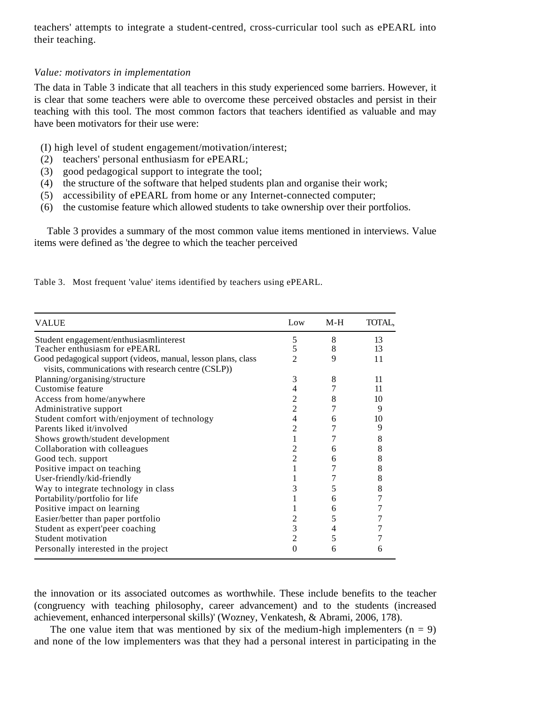teachers' attempts to integrate a student-centred, cross-curricular tool such as ePEARL into their teaching.

## *Value: motivators in implementation*

The data in Table 3 indicate that all teachers in this study experienced some barriers. However, it is clear that some teachers were able to overcome these perceived obstacles and persist in their teaching with this tool. The most common factors that teachers identified as valuable and may have been motivators for their use were:

(I) high level of student engagement/motivation/interest;

- (2) teachers' personal enthusiasm for ePEARL;
- (3) good pedagogical support to integrate the tool;
- (4) the structure of the software that helped students plan and organise their work;
- (5) accessibility of ePEARL from home or any Internet-connected computer;
- (6) the customise feature which allowed students to take ownership over their portfolios.

Table 3 provides a summary of the most common value items mentioned in interviews. Value items were defined as 'the degree to which the teacher perceived

Table 3. Most frequent 'value' items identified by teachers using ePEARL.

| <b>VALUE</b>                                                                         | Low | $M-H$ | TOTAL, |
|--------------------------------------------------------------------------------------|-----|-------|--------|
| Student engagement/enthusiasmlinterest                                               | 5   | 8     | 13     |
| Teacher enthusiasm for ePEARL                                                        |     | 8     | 13     |
| Good pedagogical support (videos, manual, lesson plans, class                        |     | 9     | 11     |
| visits, communications with research centre (CSLP))<br>Planning/organising/structure | 3   | 8     | 11     |
| Customise feature                                                                    |     |       | 11     |
| Access from home/anywhere                                                            |     | 8     | 10     |
| Administrative support                                                               |     |       | 9      |
| Student comfort with/enjoyment of technology                                         |     | 6     | 10     |
| Parents liked it/involved                                                            |     |       | 9      |
| Shows growth/student development                                                     |     |       | 8      |
| Collaboration with colleagues                                                        |     | 6     | 8      |
| Good tech. support                                                                   |     |       | 8      |
| Positive impact on teaching                                                          |     |       | 8      |
| User-friendly/kid-friendly                                                           |     |       | 8      |
| Way to integrate technology in class                                                 |     |       | 8      |
| Portability/portfolio for life                                                       |     | 6     |        |
| Positive impact on learning                                                          |     | 6     |        |
| Easier/better than paper portfolio                                                   |     |       |        |
| Student as expert'peer coaching                                                      | 3   | 4     |        |
| Student motivation                                                                   |     | 5     |        |
| Personally interested in the project                                                 | 0   | 6     | 6      |

the innovation or its associated outcomes as worthwhile. These include benefits to the teacher (congruency with teaching philosophy, career advancement) and to the students (increased achievement, enhanced interpersonal skills)' (Wozney, Venkatesh, & Abrami, 2006, 178).

The one value item that was mentioned by six of the medium-high implementers  $(n = 9)$ and none of the low implementers was that they had a personal interest in participating in the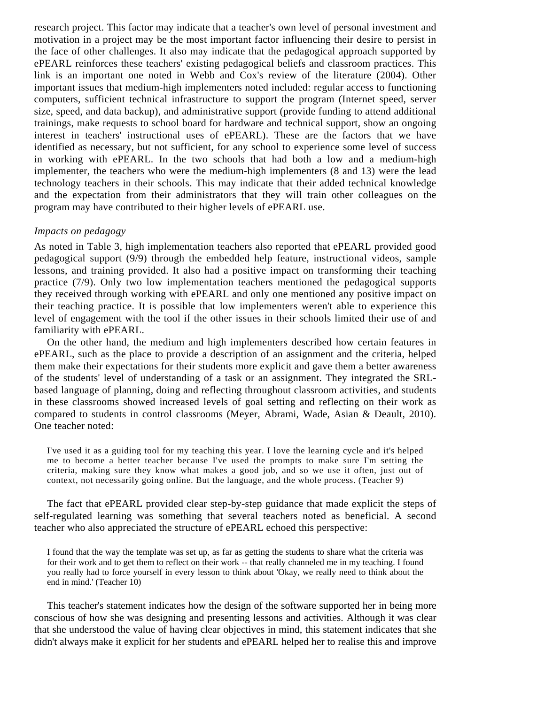research project. This factor may indicate that a teacher's own level of personal investment and motivation in a project may be the most important factor influencing their desire to persist in the face of other challenges. It also may indicate that the pedagogical approach supported by ePEARL reinforces these teachers' existing pedagogical beliefs and classroom practices. This link is an important one noted in Webb and Cox's review of the literature (2004). Other important issues that medium-high implementers noted included: regular access to functioning computers, sufficient technical infrastructure to support the program (Internet speed, server size, speed, and data backup), and administrative support (provide funding to attend additional trainings, make requests to school board for hardware and technical support, show an ongoing interest in teachers' instructional uses of ePEARL). These are the factors that we have identified as necessary, but not sufficient, for any school to experience some level of success in working with ePEARL. In the two schools that had both a low and a medium-high implementer, the teachers who were the medium-high implementers (8 and 13) were the lead technology teachers in their schools. This may indicate that their added technical knowledge and the expectation from their administrators that they will train other colleagues on the program may have contributed to their higher levels of ePEARL use.

# *Impacts on pedagogy*

As noted in Table 3, high implementation teachers also reported that ePEARL provided good pedagogical support (9/9) through the embedded help feature, instructional videos, sample lessons, and training provided. It also had a positive impact on transforming their teaching practice (7/9). Only two low implementation teachers mentioned the pedagogical supports they received through working with ePEARL and only one mentioned any positive impact on their teaching practice. It is possible that low implementers weren't able to experience this level of engagement with the tool if the other issues in their schools limited their use of and familiarity with ePEARL.

On the other hand, the medium and high implementers described how certain features in ePEARL, such as the place to provide a description of an assignment and the criteria, helped them make their expectations for their students more explicit and gave them a better awareness of the students' level of understanding of a task or an assignment. They integrated the SRLbased language of planning, doing and reflecting throughout classroom activities, and students in these classrooms showed increased levels of goal setting and reflecting on their work as compared to students in control classrooms (Meyer, Abrami, Wade, Asian & Deault, 2010). One teacher noted:

I've used it as a guiding tool for my teaching this year. I love the learning cycle and it's helped me to become a better teacher because I've used the prompts to make sure I'm setting the criteria, making sure they know what makes a good job, and so we use it often, just out of context, not necessarily going online. But the language, and the whole process. (Teacher 9)

The fact that ePEARL provided clear step-by-step guidance that made explicit the steps of self-regulated learning was something that several teachers noted as beneficial. A second teacher who also appreciated the structure of ePEARL echoed this perspective:

I found that the way the template was set up, as far as getting the students to share what the criteria was for their work and to get them to reflect on their work -- that really channeled me in my teaching. I found you really had to force yourself in every lesson to think about 'Okay, we really need to think about the end in mind.' (Teacher 10)

This teacher's statement indicates how the design of the software supported her in being more conscious of how she was designing and presenting lessons and activities. Although it was clear that she understood the value of having clear objectives in mind, this statement indicates that she didn't always make it explicit for her students and ePEARL helped her to realise this and improve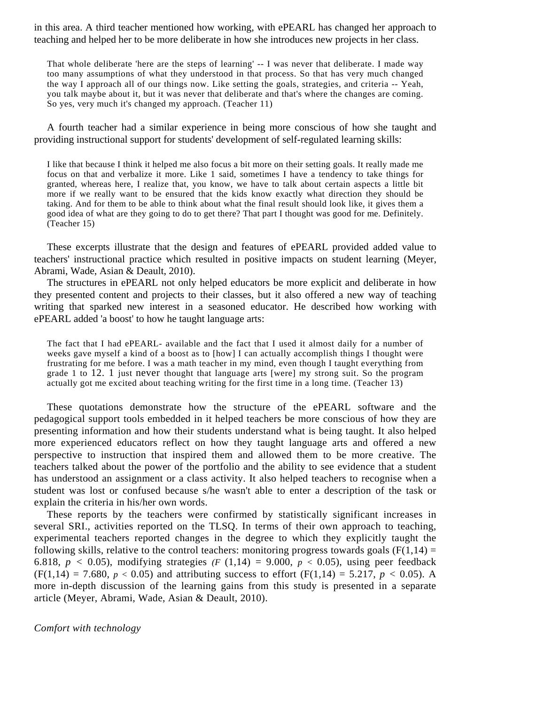in this area. A third teacher mentioned how working, with ePEARL has changed her approach to teaching and helped her to be more deliberate in how she introduces new projects in her class.

That whole deliberate 'here are the steps of learning' -- I was never that deliberate. I made way too many assumptions of what they understood in that process. So that has very much changed the way I approach all of our things now. Like setting the goals, strategies, and criteria -- Yeah, you talk maybe about it, but it was never that deliberate and that's where the changes are coming. So yes, very much it's changed my approach. (Teacher 11)

A fourth teacher had a similar experience in being more conscious of how she taught and providing instructional support for students' development of self-regulated learning skills:

I like that because I think it helped me also focus a bit more on their setting goals. It really made me focus on that and verbalize it more. Like 1 said, sometimes I have a tendency to take things for granted, whereas here, I realize that, you know, we have to talk about certain aspects a little bit more if we really want to be ensured that the kids know exactly what direction they should be taking. And for them to be able to think about what the final result should look like, it gives them a good idea of what are they going to do to get there? That part I thought was good for me. Definitely. (Teacher 15)

These excerpts illustrate that the design and features of ePEARL provided added value to teachers' instructional practice which resulted in positive impacts on student learning (Meyer, Abrami, Wade, Asian & Deault, 2010).

The structures in ePEARL not only helped educators be more explicit and deliberate in how they presented content and projects to their classes, but it also offered a new way of teaching writing that sparked new interest in a seasoned educator. He described how working with ePEARL added 'a boost' to how he taught language arts:

The fact that I had ePEARL- available and the fact that I used it almost daily for a number of weeks gave myself a kind of a boost as to [how] I can actually accomplish things I thought were frustrating for me before. I was a math teacher in my mind, even though I taught everything from grade 1 to 12. 1 just never thought that language arts [were] my strong suit. So the program actually got me excited about teaching writing for the first time in a long time. (Teacher 13)

These quotations demonstrate how the structure of the ePEARL software and the pedagogical support tools embedded in it helped teachers be more conscious of how they are presenting information and how their students understand what is being taught. It also helped more experienced educators reflect on how they taught language arts and offered a new perspective to instruction that inspired them and allowed them to be more creative. The teachers talked about the power of the portfolio and the ability to see evidence that a student has understood an assignment or a class activity. It also helped teachers to recognise when a student was lost or confused because s/he wasn't able to enter a description of the task or explain the criteria in his/her own words.

These reports by the teachers were confirmed by statistically significant increases in several SRI., activities reported on the TLSQ. In terms of their own approach to teaching, experimental teachers reported changes in the degree to which they explicitly taught the following skills, relative to the control teachers: monitoring progress towards goals  $(F(1,14) =$ 6.818,  $p < 0.05$ ), modifying strategies (F (1,14) = 9.000,  $p < 0.05$ ), using peer feedback  $(F(1,14) = 7.680, p < 0.05)$  and attributing success to effort  $(F(1,14) = 5.217, p < 0.05)$ . A more in-depth discussion of the learning gains from this study is presented in a separate article (Meyer, Abrami, Wade, Asian & Deault, 2010).

*Comfort with technology*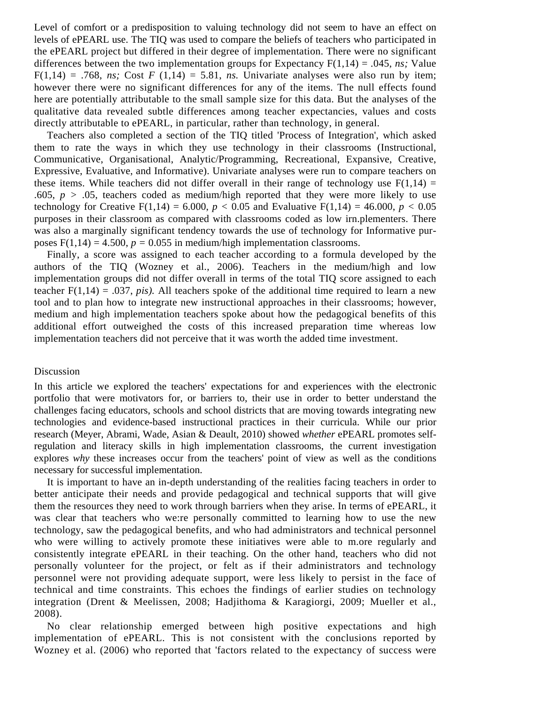Level of comfort or a predisposition to valuing technology did not seem to have an effect on levels of ePEARL use. The TIQ was used to compare the beliefs of teachers who participated in the ePEARL project but differed in their degree of implementation. There were no significant differences between the two implementation groups for Expectancy F(1,14) = .045, *ns;* Value  $F(1,14) = .768$ , *ns*; Cost *F* (1,14) = 5.81, *ns*. Univariate analyses were also run by item; however there were no significant differences for any of the items. The null effects found here are potentially attributable to the small sample size for this data. But the analyses of the qualitative data revealed subtle differences among teacher expectancies, values and costs directly attributable to ePEARL, in particular, rather than technology, in general.

Teachers also completed a section of the TIQ titled 'Process of Integration', which asked them to rate the ways in which they use technology in their classrooms (Instructional, Communicative, Organisational, Analytic/Programming, Recreational, Expansive, Creative, Expressive, Evaluative, and Informative). Univariate analyses were run to compare teachers on these items. While teachers did not differ overall in their range of technology use  $F(1,14) =$ .605,  $p > .05$ , teachers coded as medium/high reported that they were more likely to use technology for Creative F(1,14) = 6.000,  $p < 0.05$  and Evaluative F(1,14) = 46.000,  $p < 0.05$ purposes in their classroom as compared with classrooms coded as low irn.plementers. There was also a marginally significant tendency towards the use of technology for Informative purposes  $F(1,14) = 4.500$ ,  $p = 0.055$  in medium/high implementation classrooms.

Finally, a score was assigned to each teacher according to a formula developed by the authors of the TIQ (Wozney et al., 2006). Teachers in the medium/high and low implementation groups did not differ overall in terms of the total TIQ score assigned to each teacher  $F(1,14) = .037$ , *pis*). All teachers spoke of the additional time required to learn a new tool and to plan how to integrate new instructional approaches in their classrooms; however, medium and high implementation teachers spoke about how the pedagogical benefits of this additional effort outweighed the costs of this increased preparation time whereas low implementation teachers did not perceive that it was worth the added time investment.

# Discussion

In this article we explored the teachers' expectations for and experiences with the electronic portfolio that were motivators for, or barriers to, their use in order to better understand the challenges facing educators, schools and school districts that are moving towards integrating new technologies and evidence-based instructional practices in their curricula. While our prior research (Meyer, Abrami, Wade, Asian & Deault, 2010) showed *whether* ePEARL promotes selfregulation and literacy skills in high implementation classrooms, the current investigation explores *why* these increases occur from the teachers' point of view as well as the conditions necessary for successful implementation.

It is important to have an in-depth understanding of the realities facing teachers in order to better anticipate their needs and provide pedagogical and technical supports that will give them the resources they need to work through barriers when they arise. In terms of ePEARL, it was clear that teachers who we:re personally committed to learning how to use the new technology, saw the pedagogical benefits, and who had administrators and technical personnel who were willing to actively promote these initiatives were able to m.ore regularly and consistently integrate ePEARL in their teaching. On the other hand, teachers who did not personally volunteer for the project, or felt as if their administrators and technology personnel were not providing adequate support, were less likely to persist in the face of technical and time constraints. This echoes the findings of earlier studies on technology integration (Drent & Meelissen, 2008; Hadjithoma & Karagiorgi, 2009; Mueller et al., 2008).

No clear relationship emerged between high positive expectations and high implementation of ePEARL. This is not consistent with the conclusions reported by Wozney et al. (2006) who reported that 'factors related to the expectancy of success were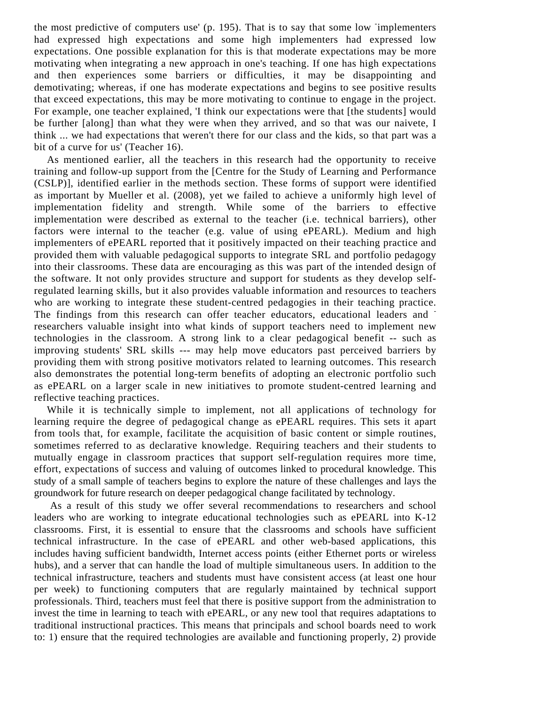the most predictive of computers use' (p. 195). That is to say that some low implementers had expressed high expectations and some high implementers had expressed low expectations. One possible explanation for this is that moderate expectations may be more motivating when integrating a new approach in one's teaching. If one has high expectations and then experiences some barriers or difficulties, it may be disappointing and demotivating; whereas, if one has moderate expectations and begins to see positive results that exceed expectations, this may be more motivating to continue to engage in the project. For example, one teacher explained, 'I think our expectations were that [the students] would be further [along] than what they were when they arrived, and so that was our naivete, I think ... we had expectations that weren't there for our class and the kids, so that part was a bit of a curve for us' (Teacher 16).

As mentioned earlier, all the teachers in this research had the opportunity to receive training and follow-up support from the [Centre for the Study of Learning and Performance (CSLP)], identified earlier in the methods section. These forms of support were identified as important by Mueller et al. (2008), yet we failed to achieve a uniformly high level of implementation fidelity and strength. While some of the barriers to effective implementation were described as external to the teacher (i.e. technical barriers), other factors were internal to the teacher (e.g. value of using ePEARL). Medium and high implementers of ePEARL reported that it positively impacted on their teaching practice and provided them with valuable pedagogical supports to integrate SRL and portfolio pedagogy into their classrooms. These data are encouraging as this was part of the intended design of the software. It not only provides structure and support for students as they develop selfregulated learning skills, but it also provides valuable information and resources to teachers who are working to integrate these student-centred pedagogies in their teaching practice. The findings from this research can offer teacher educators, educational leaders and researchers valuable insight into what kinds of support teachers need to implement new technologies in the classroom. A strong link to a clear pedagogical benefit -- such as improving students' SRL skills --- may help move educators past perceived barriers by providing them with strong positive motivators related to learning outcomes. This research also demonstrates the potential long-term benefits of adopting an electronic portfolio such as ePEARL on a larger scale in new initiatives to promote student-centred learning and reflective teaching practices.

While it is technically simple to implement, not all applications of technology for learning require the degree of pedagogical change as ePEARL requires. This sets it apart from tools that, for example, facilitate the acquisition of basic content or simple routines, sometimes referred to as declarative knowledge. Requiring teachers and their students to mutually engage in classroom practices that support self-regulation requires more time, effort, expectations of success and valuing of outcomes linked to procedural knowledge. This study of a small sample of teachers begins to explore the nature of these challenges and lays the groundwork for future research on deeper pedagogical change facilitated by technology.

As a result of this study we offer several recommendations to researchers and school leaders who are working to integrate educational technologies such as ePEARL into K-12 classrooms. First, it is essential to ensure that the classrooms and schools have sufficient technical infrastructure. In the case of ePEARL and other web-based applications, this includes having sufficient bandwidth, Internet access points (either Ethernet ports or wireless hubs), and a server that can handle the load of multiple simultaneous users. In addition to the technical infrastructure, teachers and students must have consistent access (at least one hour per week) to functioning computers that are regularly maintained by technical support professionals. Third, teachers must feel that there is positive support from the administration to invest the time in learning to teach with ePEARL, or any new tool that requires adaptations to traditional instructional practices. This means that principals and school boards need to work to: 1) ensure that the required technologies are available and functioning properly, 2) provide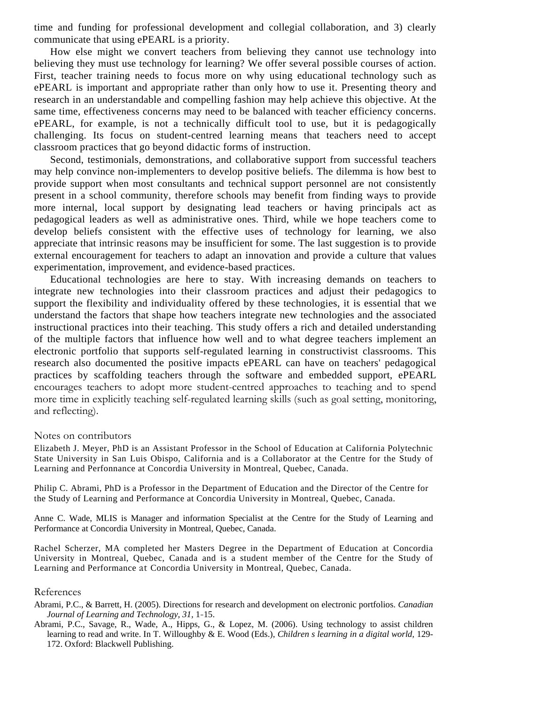time and funding for professional development and collegial collaboration, and 3) clearly communicate that using ePEARL is a priority.

How else might we convert teachers from believing they cannot use technology into believing they must use technology for learning? We offer several possible courses of action. First, teacher training needs to focus more on why using educational technology such as ePEARL is important and appropriate rather than only how to use it. Presenting theory and research in an understandable and compelling fashion may help achieve this objective. At the same time, effectiveness concerns may need to be balanced with teacher efficiency concerns. ePEARL, for example, is not a technically difficult tool to use, but it is pedagogically challenging. Its focus on student-centred learning means that teachers need to accept classroom practices that go beyond didactic forms of instruction.

Second, testimonials, demonstrations, and collaborative support from successful teachers may help convince non-implementers to develop positive beliefs. The dilemma is how best to provide support when most consultants and technical support personnel are not consistently present in a school community, therefore schools may benefit from finding ways to provide more internal, local support by designating lead teachers or having principals act as pedagogical leaders as well as administrative ones. Third, while we hope teachers come to develop beliefs consistent with the effective uses of technology for learning, we also appreciate that intrinsic reasons may be insufficient for some. The last suggestion is to provide external encouragement for teachers to adapt an innovation and provide a culture that values experimentation, improvement, and evidence-based practices.

Educational technologies are here to stay. With increasing demands on teachers to integrate new technologies into their classroom practices and adjust their pedagogics to support the flexibility and individuality offered by these technologies, it is essential that we understand the factors that shape how teachers integrate new technologies and the associated instructional practices into their teaching. This study offers a rich and detailed understanding of the multiple factors that influence how well and to what degree teachers implement an electronic portfolio that supports self-regulated learning in constructivist classrooms. This research also documented the positive impacts ePEARL can have on teachers' pedagogical practices by scaffolding teachers through the software and embedded support, ePEARL encourages teachers to adopt more student-centred approaches to teaching and to spend more time in explicitly teaching self-regulated learning skills (such as goal setting, monitoring, and reflecting).

#### Notes on contributors

Elizabeth J. Meyer, PhD is an Assistant Professor in the School of Education at California Polytechnic State University in San Luis Obispo, California and is a Collaborator at the Centre for the Study of Learning and Perfonnance at Concordia University in Montreal, Quebec, Canada.

Philip C. Abrami, PhD is a Professor in the Department of Education and the Director of the Centre for the Study of Learning and Performance at Concordia University in Montreal, Quebec, Canada.

Anne C. Wade, MLIS is Manager and information Specialist at the Centre for the Study of Learning and Performance at Concordia University in Montreal, Quebec, Canada.

Rachel Scherzer, MA completed her Masters Degree in the Department of Education at Concordia University in Montreal, Quebec, Canada and is a student member of the Centre for the Study of Learning and Performance at Concordia University in Montreal, Quebec, Canada.

#### References

Abrami, P.C., & Barrett, H. (2005). Directions for research and development on electronic portfolios. *Canadian Journal of Learning and Technology, 31,* 1-15.

Abrami, P.C., Savage, R., Wade, A., Hipps, G., & Lopez, M. (2006). Using technology to assist children learning to read and write. In T. Willoughby & E. Wood (Eds.), *Children s learning in a digital world,* 129- 172. Oxford: Blackwell Publishing.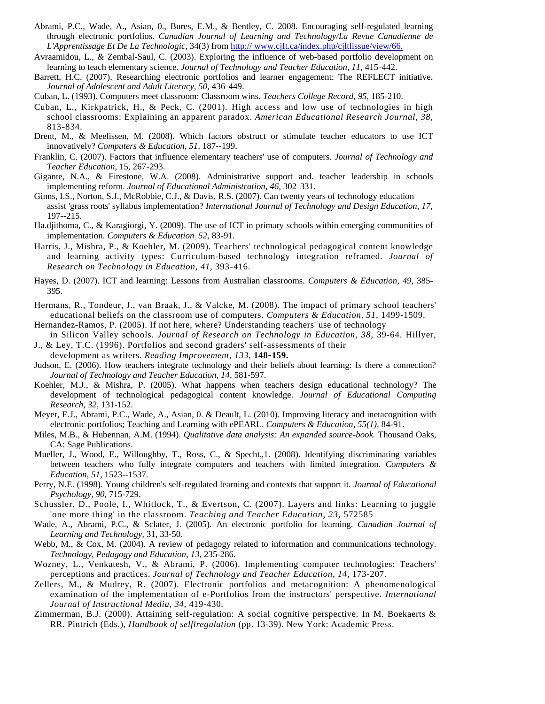- Abrami, P.C., Wade, A., Asian, 0., Bures, E.M., & Bentley, C. 2008. Encouraging self-regulated learning through electronic portfolios. *Canadian Journal of Learning and Technology/La Revue Canadienne de L'Apprentissage Et De La Technologic,* 34(3) from [http:// www.cjIt.ca/index.php/cjltlissue/view/66.](http://www.cjit.ca/index.php/cjltlissue/view/66.)
- Avraamidou, L., *&* Zembal-Saul, C. (2003). Exploring the influence of web-based portfolio development on learning to teach elementary science. *Journal of Technology and Teacher Education, 11,* 415-442.
- Barrett, H.C. (2007). Researching electronic portfolios and learner engagement: The REFLECT initiative. *Journal of Adolescent and Adult Literacy, 50,* 436-449.
- Cuban, L. (1993). Computers meet classroom: Classroom wins. *Teachers College Record, 95,* 185-210.
- Cuban, L., Kirkpatrick, H., & Peck, C. (2001). High access and low use of technologies in high school classrooms: Explaining an apparent paradox. *American Educational Research Journal, 38,*  813-834.
- Drent, M., & Meelissen, M. (2008). Which factors obstruct or stimulate teacher educators to use ICT innovatively? *Computers & Education, 51,* 187--199.
- Franklin, C. (2007). Factors that influence elementary teachers' use of computers. *Journal of Technology and Teacher Education,* 15, 267-293.
- Gigante, N.A., & Firestone, W.A. (2008). Administrative support and. teacher leadership in schools implementing reform. *Journal of Educational Administration, 46,* 302-331.
- Ginns, I.S., Norton, S.J., McRobbie, C.J., & Davis, R.S. (2007). Can twenty years of technology education assist 'grass roots' syllabus implementation? *International Journal of Technology and Design Education, 17,*  197--215.
- Ha.djithoma, C., & Karagiorgi, Y. (2009). The use of ICT in primary schools within emerging communities of implementation. *Computers & Education; 52,* 83-91.
- Harris, J., Mishra, P., & Koehler, M. (2009). Teachers' technological pedagogical content knowledge and learning activity types: Curriculum-based technology integration reframed. *Journal of Research on Technology in Education, 41,* 393-416.
- Hayes, D. (2007). ICT and learning: Lessons from Australian classrooms. *Computers & Education, 49,* 385- 395.
- Hermans, R., Tondeur, J., van Braak, J., & Valcke, M. (2008). The impact of primary school teachers' educational beliefs on the classroom use of computers. *Computers & Education, 51,* 1499-1509.
- Hernandez-Ramos, P. (2005). If not here, where? Understanding teachers' use of technology
- in Silicon Valley schools. *Journal of Research on Technology in Education, 38,* 39-64. Hillyer, J., & Ley, T.C. (1996). Portfolios and second graders' self-assessments of their
- development as writers. *Reading Improvement, 133,* **148-159.**
- Judson, E. (2006). How teachers integrate technology and their beliefs about learning: Is there a connection? *Journal of Technology and Teacher Education, 14,* 581-597.
- Koehler, M.J., & Mishra, P. (2005). What happens when teachers design educational technology? The development of technological pedagogical content knowledge. *Journal of Educational Computing Research, 32,* 131-152.
- Meyer, E.J., Abrami, P.C., Wade, A., Asian, 0. & Deault, L. (2010). Improving literacy and inetacognition with electronic portfolios; Teaching and Learning with ePEARL. *Computers & Education, 55(1),* 84-91.
- Miles, M.B., & Hubennan, A.M. (1994). *Qualitative data analysis: An expanded source-book.* Thousand Oaks, CA: Sage Publications.
- Mueller, J., Wood, E., Willoughby, T., Ross, C., & Specht, 1. (2008). Identifying discriminating variables between teachers who fully integrate computers and teachers with limited integration. *Computers & Education, 51,* 1523--1537.
- Perry, N.E. (1998). Young children's self-regulated learning and contexts that support it. *Journal of Educational Psychology, 90,* 715-729.
- Schussler, D., Poole, I., Whitlock, T., & Evertson, C. (2007). Layers and links: Learning to juggle 'one more thing' in the classroom. *Teaching and Teacher Education, 23,* 572585
- Wade, A., Abrami, P.C., & Sclater, J. (2005). An electronic portfolio for learning. *Canadian Journal of Learning and Technology,* 31, 33-50.
- Webb, M., & Cox, M. (2004). A review of pedagogy related to information and communications technology. *Technology, Pedagogy and Education, 13,* 235-286.
- Wozney, L., Venkatesh, V., & Abrami, P. (2006). Implementing computer technologies: Teachers' perceptions and practices. *Journal of Technology and Teacher Education, 14,* 173-207.
- Zellers, M., & Mudrey, R. (2007). Electronic portfolios and metacognition: A phenomenological examination of the implementation of e-Portfolios from the instructors' perspective. *International Journal of Instructional Media, 34,* 419-430.
- Zimmerman, B.J. (2000). Attaining self-regulation: A social cognitive perspective. In M. Boekaerts & RR. Pintrich (Eds.), *Handbook of selflregulation* (pp. 13-39). New York: Academic Press.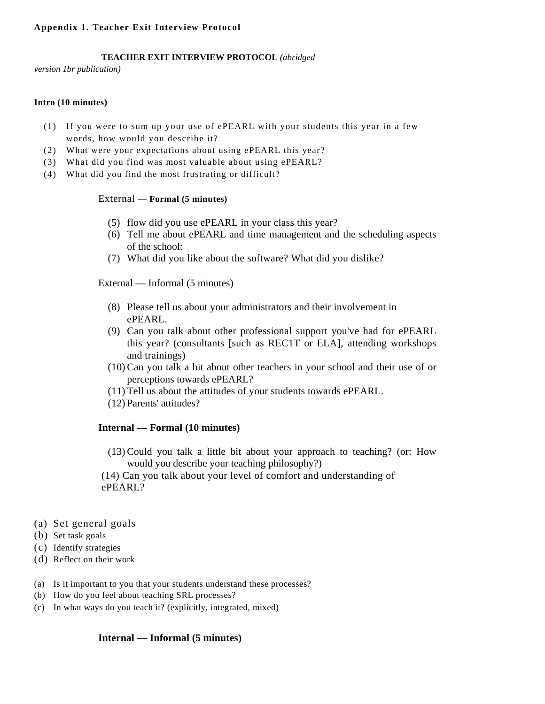# **Appendix 1. Teacher Exit Interview Protocol**

### **TEACHER EXIT INTERVIEW PROTOCOL** *(abridged*

*version 1br publication)*

### **Intro (10 minutes)**

- (1) If you were to sum up your use of ePEARL with your students this year in a few words, how would you describe it?
- (2) What were your expectations about using ePEARL this year?
- (3) What did you find was most valuable about using ePEARL?
- (4) What did you find the most frustrating or difficult?

### External — **Formal (5 minutes)**

- (5) flow did you use ePEARL in your class this year?
- (6) Tell me about ePEARL and time management and the scheduling aspects of the school:
- (7) What did you like about the software? What did you dislike?

External — Informal (5 minutes)

- (8) Please tell us about your administrators and their involvement in ePEARL.
- (9) Can you talk about other professional support you've had for ePEARL this year? (consultants [such as REC1T or ELA], attending workshops and trainings)
- (10) Can you talk a bit about other teachers in your school and their use of or perceptions towards ePEARL?
- (11) Tell us about the attitudes of your students towards ePEARL.
- (12) Parents' attitudes?

# **Internal — Formal (10 minutes)**

(13) Could you talk a little bit about your approach to teaching? (or: How would you describe your teaching philosophy?)

(14) Can you talk about your level of comfort and understanding of ePEARL?

- (a) Set general goals
- (b) Set task goals
- (c) Identify strategies
- (d) Reflect on their work
- (a) Is it important to you that your students understand these processes?
- (b) How do you feel about teaching SRL processes?
- (c) In what ways do you teach it? (explicitly, integrated, mixed)

**Internal — Informal (5 minutes)**